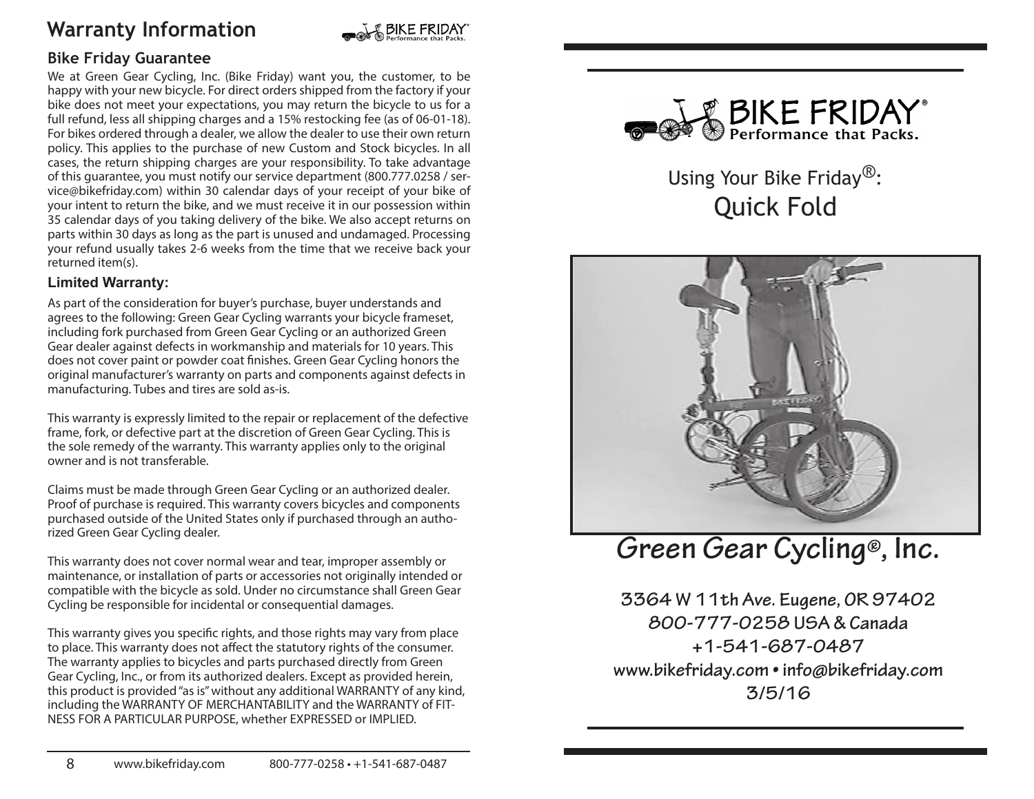# **Warranty Information**



### **Bike Friday Guarantee**

We at Green Gear Cycling, Inc. (Bike Friday) want you, the customer, to be happy with your new bicycle. For direct orders shipped from the factory if your bike does not meet your expectations, you may return the bicycle to us for a full refund, less all shipping charges and a 15% restocking fee (as of 06-01-18). For bikes ordered through a dealer, we allow the dealer to use their own return policy. This applies to the purchase of new Custom and Stock bicycles. In all cases, the return shipping charges are your responsibility. To take advantage of this guarantee, you must notify our service department (800.777.0258 / service@bikefriday.com) within 30 calendar days of your receipt of your bike of your intent to return the bike, and we must receive it in our possession within 35 calendar days of you taking delivery of the bike. We also accept returns on parts within 30 days as long as the part is unused and undamaged. Processing your refund usually takes 2-6 weeks from the time that we receive back your returned item(s).

### **Limited Warranty:**

As part of the consideration for buyer's purchase, buyer understands and agrees to the following: Green Gear Cycling warrants your bicycle frameset, including fork purchased from Green Gear Cycling or an authorized Green Gear dealer against defects in workmanship and materials for 10 years. This does not cover paint or powder coat finishes. Green Gear Cycling honors the original manufacturer's warranty on parts and components against defects in manufacturing. Tubes and tires are sold as-is.

This warranty is expressly limited to the repair or replacement of the defective frame, fork, or defective part at the discretion of Green Gear Cycling. This is the sole remedy of the warranty. This warranty applies only to the original owner and is not transferable.

Claims must be made through Green Gear Cycling or an authorized dealer. Proof of purchase is required. This warranty covers bicycles and components purchased outside of the United States only if purchased through an authorized Green Gear Cycling dealer.

This warranty does not cover normal wear and tear, improper assembly or maintenance, or installation of parts or accessories not originally intended or compatible with the bicycle as sold. Under no circumstance shall Green Gear Cycling be responsible for incidental or consequential damages.

This warranty gives you specific rights, and those rights may vary from place to place. This warranty does not affect the statutory rights of the consumer. The warranty applies to bicycles and parts purchased directly from Green Gear Cycling, Inc., or from its authorized dealers. Except as provided herein, this product is provided "as is" without any additional WARRANTY of any kind, including the WARRANTY OF MERCHANTABILITY and the WARRANTY of FIT-NESS FOR A PARTICULAR PURPOSE, whether EXPRESSED or IMPLIED.



Using Your Bike Friday<sup>®</sup>: Quick Fold



# **Green Gear Cycling®, Inc.**

**3364 W 11th Ave. Eugene, OR 97402 800-777-0258 USA & Canada +1-541-687-0487 www.bikefriday.com • info@bikefriday.com 3/5/16**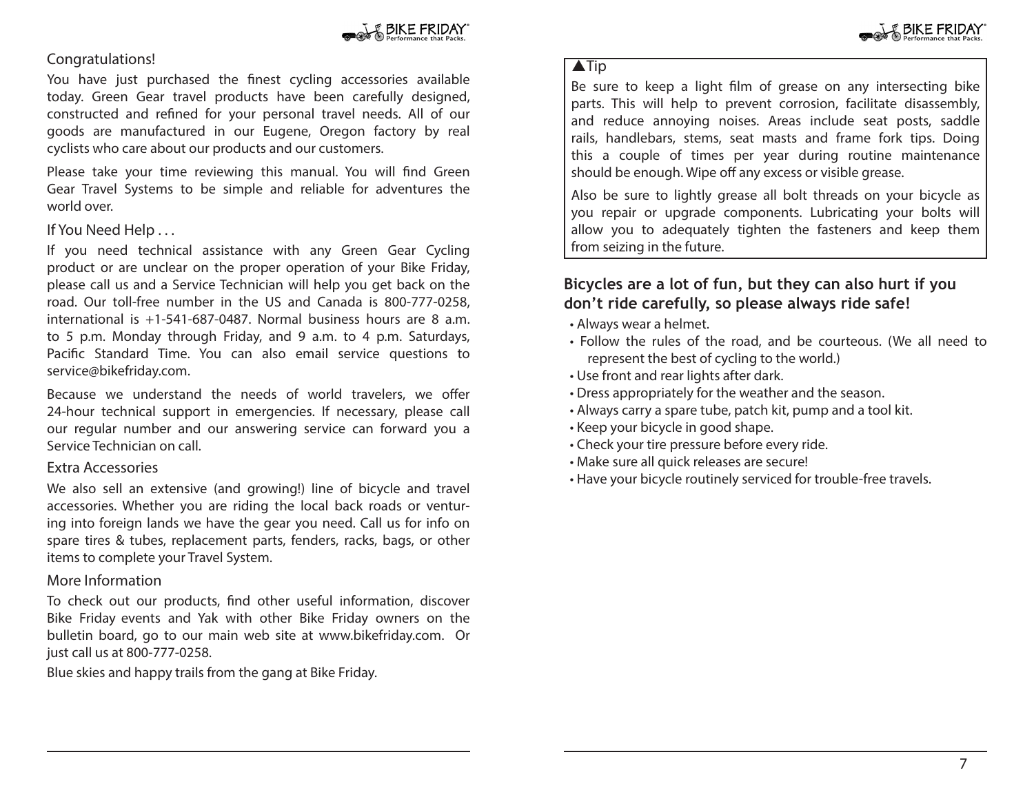

#### Congratulations!

You have just purchased the finest cycling accessories available today. Green Gear travel products have been carefully designed, constructed and refined for your personal travel needs. All of our goods are manufactured in our Eugene, Oregon factory by real cyclists who care about our products and our customers.

Please take your time reviewing this manual. You will find Green Gear Travel Systems to be simple and reliable for adventures the world over.

### If You Need Help . . .

If you need technical assistance with any Green Gear Cycling product or are unclear on the proper operation of your Bike Friday, please call us and a Service Technician will help you get back on the road. Our toll-free number in the US and Canada is 800-777-0258, international is +1-541-687-0487. Normal business hours are 8 a.m. to 5 p.m. Monday through Friday, and 9 a.m. to 4 p.m. Saturdays, Pacific Standard Time. You can also email service questions to service@bikefriday.com.

Because we understand the needs of world travelers, we offer 24-hour technical support in emergencies. If necessary, please call our regular number and our answering service can forward you a Service Technician on call.

#### Extra Accessories

We also sell an extensive (and growing!) line of bicycle and travel accessories. Whether you are riding the local back roads or venturing into foreign lands we have the gear you need. Call us for info on spare tires & tubes, replacement parts, fenders, racks, bags, or other items to complete your Travel System.

#### More Information

To check out our products, find other useful information, discover Bike Friday events and Yak with other Bike Friday owners on the bulletin board, go to our main web site at www.bikefriday.com. Or just call us at 800-777-0258.

Blue skies and happy trails from the gang at Bike Friday.

### ATip

Be sure to keep a light film of grease on any intersecting bike parts. This will help to prevent corrosion, facilitate disassembly, and reduce annoying noises. Areas include seat posts, saddle rails, handlebars, stems, seat masts and frame fork tips. Doing this a couple of times per year during routine maintenance should be enough. Wipe off any excess or visible grease.

Also be sure to lightly grease all bolt threads on your bicycle as you repair or upgrade components. Lubricating your bolts will allow you to adequately tighten the fasteners and keep them from seizing in the future.

### **Bicycles are a lot of fun, but they can also hurt if you don't ride carefully, so please always ride safe!**

- Always wear a helmet.
- Follow the rules of the road, and be courteous. (We all need to represent the best of cycling to the world.)
- Use front and rear lights after dark.
- Dress appropriately for the weather and the season.
- Always carry a spare tube, patch kit, pump and a tool kit.
- Keep your bicycle in good shape.
- Check your tire pressure before every ride.
- Make sure all quick releases are secure!
- Have your bicycle routinely serviced for trouble-free travels.

**BIKE FRIDA**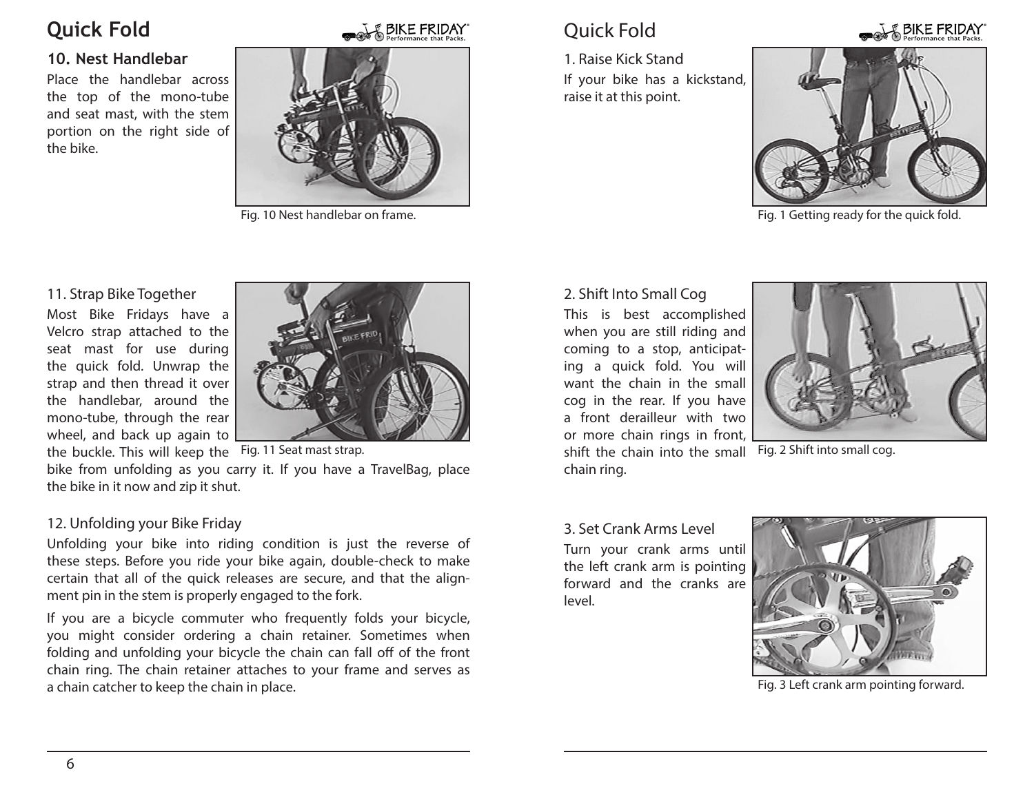# **Quick Fold**

## **10. Nest Handlebar**

Place the handlebar across the top of the mono-tube and seat mast, with the stem portion on the right side of the bike.





Fig. 10 Nest handlebar on frame.

# **BIKE FRIDAY**

1. Raise Kick Stand If your bike has a kickstand, raise it at this point.

Quick Fold



Fig. 1 Getting ready for the quick fold.

### 11. Strap Bike Together

Most Bike Fridays have a Velcro strap attached to the seat mast for use during the quick fold. Unwrap the strap and then thread it over the handlebar, around the mono-tube, through the rear wheel, and back up again to



the buckle. This will keep the Fig. 11 Seat mast strap.

bike from unfolding as you carry it. If you have a TravelBag, place the bike in it now and zip it shut.

### 12. Unfolding your Bike Friday

Unfolding your bike into riding condition is just the reverse of these steps. Before you ride your bike again, double-check to make certain that all of the quick releases are secure, and that the alignment pin in the stem is properly engaged to the fork.

If you are a bicycle commuter who frequently folds your bicycle, you might consider ordering a chain retainer. Sometimes when folding and unfolding your bicycle the chain can fall off of the front chain ring. The chain retainer attaches to your frame and serves as a chain catcher to keep the chain in place.

### 2. Shift Into Small Cog

This is best accomplished when you are still riding and coming to a stop, anticipating a quick fold. You will want the chain in the small cog in the rear. If you have a front derailleur with two or more chain rings in front, shift the chain into the small chain ring.



Fig. 2 Shift into small cog.

3. Set Crank Arms Level Turn your crank arms until the left crank arm is pointing forward and the cranks are level.



Fig. 3 Left crank arm pointing forward.